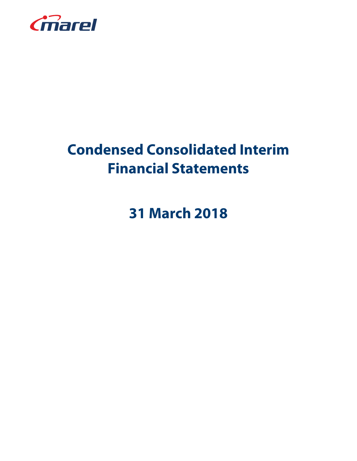

# **Condensed Consolidated Interim Financial Statements**

**31 March 2018**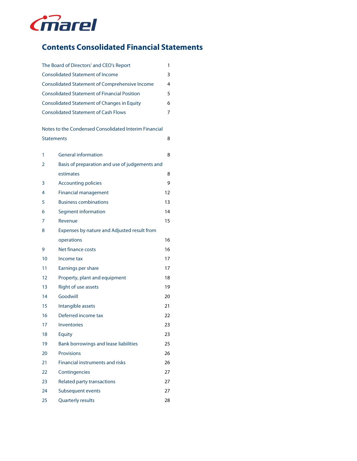

# **Contents Consolidated Financial Statements**

|                   | The Board of Directors' and CEO's Report              | 1  |
|-------------------|-------------------------------------------------------|----|
|                   | <b>Consolidated Statement of Income</b>               | 3  |
|                   | <b>Consolidated Statement of Comprehensive Income</b> | 4  |
|                   | <b>Consolidated Statement of Financial Position</b>   | 5  |
|                   | <b>Consolidated Statement of Changes in Equity</b>    | 6  |
|                   | <b>Consolidated Statement of Cash Flows</b>           | 7  |
|                   |                                                       |    |
|                   | Notes to the Condensed Consolidated Interim Financial |    |
| <b>Statements</b> |                                                       | 8  |
| 1                 | <b>General information</b>                            | 8  |
| 2                 | Basis of preparation and use of judgements and        |    |
|                   | estimates                                             | 8  |
| 3                 | <b>Accounting policies</b>                            | 9  |
| 4                 | <b>Financial management</b>                           | 12 |
| 5                 | <b>Business combinations</b>                          | 13 |
| 6                 | Segment information                                   | 14 |
| 7                 | Revenue                                               | 15 |
| 8                 | Expenses by nature and Adjusted result from           |    |
|                   | operations                                            | 16 |
| 9                 | Net finance costs                                     | 16 |
| 10                | Income tax                                            | 17 |
| 11                | Earnings per share                                    | 17 |
| 12                | Property, plant and equipment                         | 18 |
| 13                | Right of use assets                                   | 19 |
| 14                | Goodwill                                              | 20 |
| 15                | Intangible assets                                     | 21 |
| 16                | Deferred income tax                                   | 22 |
| 17                | Inventories                                           | 23 |
| 18                | <b>Equity</b>                                         | 23 |
| 19                | Bank borrowings and lease liabilities                 | 25 |
| 20                | <b>Provisions</b>                                     | 26 |
| 21                | <b>Financial instruments and risks</b>                | 26 |
| 22                | Contingencies                                         | 27 |
| 23                | <b>Related party transactions</b>                     | 27 |
| 24                | Subsequent events                                     | 27 |
| 25                | <b>Quarterly results</b>                              | 28 |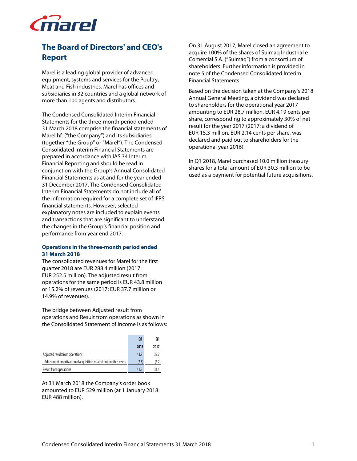

# **The Board of Directors' and CEO's Report**

Marel is a leading global provider of advanced equipment, systems and services for the Poultry, Meat and Fish industries. Marel has offices and subsidiaries in 32 countries and a global network of more than 100 agents and distributors.

The Condensed Consolidated Interim Financial Statements for the three-month period ended 31 March 2018 comprise the financial statements of Marel hf. ("the Company") and its subsidiaries (together "the Group" or "Marel"). The Condensed Consolidated Interim Financial Statements are prepared in accordance with IAS 34 Interim Financial Reporting and should be read in conjunction with the Group's Annual Consolidated Financial Statements as at and for the year ended 31 December 2017. The Condensed Consolidated Interim Financial Statements do not include all of the information required for a complete set of IFRS financial statements. However, selected explanatory notes are included to explain events and transactions that are significant to understand the changes in the Group's financial position and performance from year end 2017.

### **Operations in the three-month period ended 31 March 2018**

The consolidated revenues for Marel for the first quarter 2018 are EUR 288.4 million (2017: EUR 252.5 million). The adjusted result from operations for the same period is EUR 43.8 million or 15.2% of revenues (2017: EUR 37.7 million or 14.9% of revenues).

The bridge between Adjusted result from operations and Result from operations as shown in the Consolidated Statement of Income is as follows:

|                                                                    | 01    | 01    |
|--------------------------------------------------------------------|-------|-------|
|                                                                    | 2018  | 2017  |
| Adjusted result from operations                                    | 43.8  | 37.7  |
| Adjustment amortization of acquisition-related (in)tangible assets | (2.3) | (6.2) |
| Result from operations                                             | 41.5  | 31.5  |

At 31 March 2018 the Company's order book amounted to EUR 529 million (at 1 January 2018: EUR 488 million).

On 31 August 2017, Marel closed an agreement to acquire 100% of the shares of Sulmaq Industrial e Comercial S.A. ("Sulmaq") from a consortium of shareholders. Further information is provided in note 5 of the Condensed Consolidated Interim Financial Statements.

Based on the decision taken at the Company's 2018 Annual General Meeting, a dividend was declared to shareholders for the operational year 2017 amounting to EUR 28.7 million, EUR 4.19 cents per share, corresponding to approximately 30% of net result for the year 2017 (2017: a dividend of EUR 15.3 million, EUR 2.14 cents per share, was declared and paid out to shareholders for the operational year 2016).

In Q1 2018, Marel purchased 10.0 million treasury shares for a total amount of EUR 30.3 million to be used as a payment for potential future acquisitions.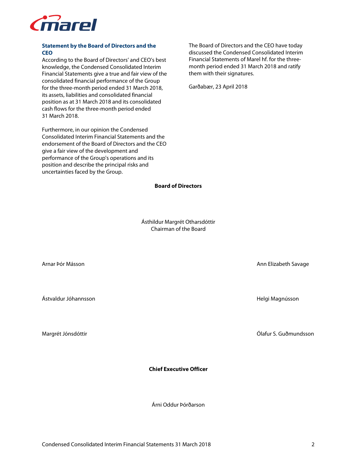

### **Statement by the Board of Directors and the CEO**

According to the Board of Directors' and CEO's best knowledge, the Condensed Consolidated Interim Financial Statements give a true and fair view of the consolidated financial performance of the Group for the three-month period ended 31 March 2018, its assets, liabilities and consolidated financial position as at 31 March 2018 and its consolidated cash flows for the three-month period ended 31 March 2018.

Furthermore, in our opinion the Condensed Consolidated Interim Financial Statements and the endorsement of the Board of Directors and the CEO give a fair view of the development and performance of the Group's operations and its position and describe the principal risks and uncertainties faced by the Group.

The Board of Directors and the CEO have today discussed the Condensed Consolidated Interim Financial Statements of Marel hf. for the threemonth period ended 31 March 2018 and ratify them with their signatures.

Garðabær, 23 April 2018

**Board of Directors** 

Ásthildur Margrét Otharsdóttir Chairman of the Board

Arnar Þór Másson Ann Elizabeth Savage

Margrét Jónsdóttir Ólafur S. Guðmundsson

Ástvaldur Jóhannsson Helgi Magnússon

**Chief Executive Officer** 

Árni Oddur Þórðarson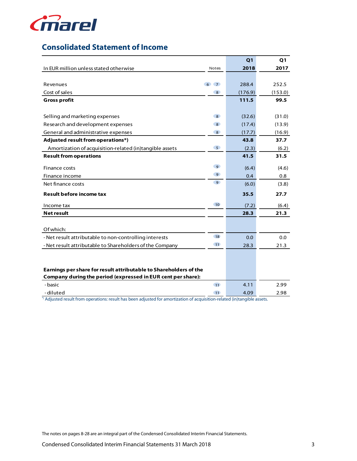

# **Consolidated Statement of Income**

|                                                                   |                                  | Q <sub>1</sub> | Q <sub>1</sub> |
|-------------------------------------------------------------------|----------------------------------|----------------|----------------|
| In EUR million unless stated otherwise                            | Notes                            | 2018           | 2017           |
|                                                                   |                                  |                |                |
| Revenues                                                          | 6 <sup>1</sup><br>$\overline{7}$ | 288.4          | 252.5          |
| Cost of sales                                                     | 8 <sup>°</sup>                   | (176.9)        | (153.0)        |
| <b>Gross profit</b>                                               |                                  | 111.5          | 99.5           |
|                                                                   |                                  |                |                |
| Selling and marketing expenses                                    | $\overline{8}$                   | (32.6)         | (31.0)         |
| Research and development expenses                                 | 8 <sup>°</sup>                   | (17.4)         | (13.9)         |
| General and administrative expenses                               | 8                                | (17.7)         | (16.9)         |
| Adjusted result from operations*)                                 |                                  | 43.8           | 37.7           |
| Amortization of acquisition-related (in)tangible assets           | 5 <sup>o</sup>                   | (2.3)          | (6.2)          |
| <b>Result from operations</b>                                     |                                  | 41.5           | 31.5           |
| Finance costs                                                     | 9 <sup>o</sup>                   | (6.4)          | (4.6)          |
| Finance income                                                    | 9 <sup>o</sup>                   | 0.4            | 0.8            |
| Net finance costs                                                 | 9 <sup>°</sup>                   | (6.0)          | (3.8)          |
|                                                                   |                                  |                |                |
| <b>Result before income tax</b>                                   |                                  | 35.5           | 27.7           |
| Income tax                                                        | 10 <sup>°</sup>                  | (7.2)          | (6.4)          |
| <b>Net result</b>                                                 |                                  | 28.3           | 21.3           |
|                                                                   |                                  |                |                |
| Of which:                                                         |                                  |                |                |
| - Net result attributable to non-controlling interests            | <b>18</b>                        | 0.0            | 0.0            |
| - Net result attributable to Shareholders of the Company          | 11                               | 28.3           | 21.3           |
|                                                                   |                                  |                |                |
|                                                                   |                                  |                |                |
| Earnings per share for result attributable to Shareholders of the |                                  |                |                |
| Company during the period (expressed in EUR cent per share):      |                                  |                |                |
| - basic                                                           | 11                               | 4.11           | 2.99           |
| -diluted                                                          | 11                               | 4.09           | 2.98           |

\*) Adjusted result from operations: result has been adjusted for amortization of acquisition-related (in)tangible assets.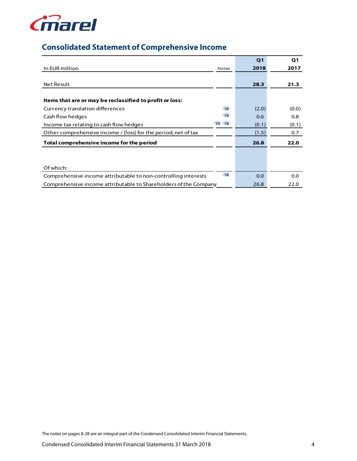

# **Consolidated Statement of Comprehensive Income**

|                                                                  |              | Q <sub>1</sub> | Q1    |
|------------------------------------------------------------------|--------------|----------------|-------|
| In EUR million                                                   | <b>Notes</b> | 2018           | 2017  |
|                                                                  |              |                |       |
| <b>Net Result</b>                                                |              | 28.3           | 21.3  |
|                                                                  |              |                |       |
| Items that are or may be reclassified to profit or loss:         |              |                |       |
| Currency translation differences                                 | <b>18</b>    | (2.0)          | (0.0) |
| Cash flow hedges                                                 | <b>18</b>    | 0.6            | 0.8   |
| Income tax relating to cash flow hedges                          | 16 18        | (0.1)          | (0.1) |
| Other comprehensive income / (loss) for the period, net of tax   |              | (1.5)          | 0.7   |
| Total comprehensive income for the period                        |              | 26.8           | 22.0  |
|                                                                  |              |                |       |
|                                                                  |              |                |       |
| Of which:                                                        |              |                |       |
| Comprehensive income attributable to non-controlling interests   | 18           | 0.0            | 0.0   |
| Comprehensive income attributable to Shareholders of the Company |              | 26.8           | 22.0  |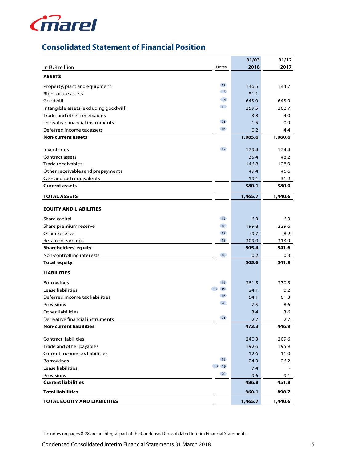

# **Consolidated Statement of Financial Position**

|                                        |                 | 31/03   | 31/12   |
|----------------------------------------|-----------------|---------|---------|
| In EUR million                         | Notes           | 2018    | 2017    |
| <b>ASSETS</b>                          |                 |         |         |
| Property, plant and equipment          | 12              | 146.5   | 144.7   |
| Right of use assets                    | 13              | 31.1    |         |
| Goodwill                               | <b>14</b>       | 643.0   | 643.9   |
| Intangible assets (excluding goodwill) | 15              | 259.5   | 262.7   |
| Trade and other receivables            |                 | 3.8     | 4.0     |
| Derivative financial instruments       | 21              | 1.5     | 0.9     |
| Deferred income tax assets             | 16              | 0.2     | 4.4     |
| <b>Non-current assets</b>              |                 | 1,085.6 | 1,060.6 |
| Inventories                            | 17 <sup>2</sup> | 129.4   | 124.4   |
| Contract assets                        |                 | 35.4    | 48.2    |
| Trade receivables                      |                 | 146.8   | 128.9   |
| Other receivables and prepayments      |                 | 49.4    | 46.6    |
| Cash and cash equivalents              |                 | 19.1    | 31.9    |
| <b>Current assets</b>                  |                 | 380.1   | 380.0   |
| <b>TOTAL ASSETS</b>                    |                 | 1,465.7 | 1,440.6 |
| <b>EQUITY AND LIABILITIES</b>          |                 |         |         |
|                                        |                 |         |         |
| Share capital                          | <b>18</b>       | 6.3     | 6.3     |
| Share premium reserve                  | <b>18</b>       | 199.8   | 229.6   |
| Other reserves                         | 18              | (9.7)   | (8.2)   |
| Retained earnings                      | <b>18</b>       | 309.0   | 313.9   |
| <b>Shareholders' equity</b>            |                 | 505.4   | 541.6   |
| Non-controlling interests              | 18              | 0.2     | 0.3     |
| <b>Total equity</b>                    |                 | 505.6   | 541.9   |
| <b>LIABILITIES</b>                     |                 |         |         |
| Borrowings                             | 19              | 381.5   | 370.5   |
| 13 19<br>Lease liabilities             |                 | 24.1    | 0.2     |
| Deferred income tax liabilities        | 16              | 54.1    | 61.3    |
| Provisions                             | 20              | 7.5     | 8.6     |
| Other liabilities                      |                 | 3.4     | 3.6     |
| Derivative financial instruments       | 21              | 2.7     | 2.7     |
| <b>Non-current liabilities</b>         |                 | 473.3   | 446.9   |
| Contract liabilities                   |                 | 240.3   | 209.6   |
| Trade and other payables               |                 | 192.6   | 195.9   |
| Current income tax liabilities         |                 | 12.6    | 11.0    |
| Borrowings                             | 19              | 24.3    | 26.2    |
| Lease liabilities                      | 13 19           | 7.4     |         |
| Provisions                             | 20              | 9.6     | 9.1     |
| <b>Current liabilities</b>             |                 | 486.8   | 451.8   |
| <b>Total liabilities</b>               |                 | 960.1   | 898.7   |
| TOTAL EQUITY AND LIABILITIES           |                 | 1,465.7 | 1,440.6 |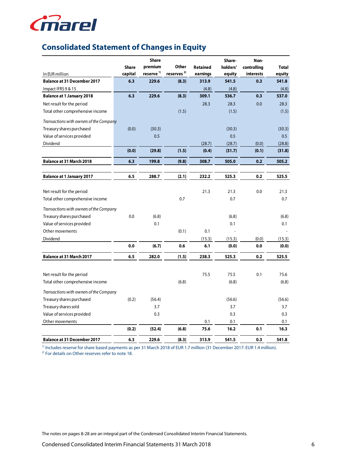

# **Consolidated Statement of Changes in Equity**

|                                         |              | <b>Share</b>          |                        |                 | Share-   | Non-        |              |
|-----------------------------------------|--------------|-----------------------|------------------------|-----------------|----------|-------------|--------------|
|                                         | <b>Share</b> | premium               | Other                  | <b>Retained</b> | holders' | controlling | <b>Total</b> |
| In EUR million                          | capital      | reserve <sup>1)</sup> | reserves <sup>2)</sup> | earnings        | equity   | interests   | equity       |
| <b>Balance at 31 December 2017</b>      | 6.3          | 229.6                 | (8.3)                  | 313.9           | 541.5    | 0.3         | 541.8        |
| Impact IFRS 9 & 15                      |              |                       |                        | (4.8)           | (4.8)    |             | (4.8)        |
| <b>Balance at 1 January 2018</b>        | 6.3          | 229.6                 | (8.3)                  | 309.1           | 536.7    | 0.3         | 537.0        |
| Net result for the period               |              |                       |                        | 28.3            | 28.3     | 0.0         | 28.3         |
| Total other comprehensive income        |              |                       | (1.5)                  |                 | (1.5)    |             | (1.5)        |
| Transactions with owners of the Company |              |                       |                        |                 |          |             |              |
| Treasury shares purchased               | (0.0)        | (30.3)                |                        |                 | (30.3)   |             | (30.3)       |
| Value of services provided              |              | 0.5                   |                        |                 | 0.5      |             | 0.5          |
| Dividend                                |              |                       |                        | (28.7)          | (28.7)   | (0.0)       | (28.8)       |
|                                         | (0.0)        | (29.8)                | (1.5)                  | (0.4)           | (31.7)   | (0.1)       | (31.8)       |
| <b>Balance at 31 March 2018</b>         | 6.3          | 199.8                 | (9.8)                  | 308.7           | 505.0    | 0.2         | 505.2        |
|                                         |              |                       |                        |                 |          |             |              |
| <b>Balance at 1 January 2017</b>        | 6.5          | 288.7                 | (2.1)                  | 232.2           | 525.3    | 0.2         | 525.5        |
| Net result for the period               |              |                       |                        | 21.3            | 21.3     | 0.0         | 21.3         |
| Total other comprehensive income        |              |                       | 0.7                    |                 | 0.7      |             | 0.7          |
|                                         |              |                       |                        |                 |          |             |              |
| Transactions with owners of the Company |              |                       |                        |                 |          |             |              |
| Treasury shares purchased               | 0.0          | (6.8)                 |                        |                 | (6.8)    |             | (6.8)        |
| Value of services provided              |              | 0.1                   |                        |                 | 0.1      |             | 0.1          |
| Other movements                         |              |                       | (0.1)                  | 0.1             |          |             |              |
| Dividend                                |              |                       |                        | (15.3)          | (15.3)   | (0.0)       | (15.3)       |
|                                         | 0.0          | (6.7)                 | 0.6                    | 6.1             | (0.0)    | 0.0         | (0.0)        |
| <b>Balance at 31 March 2017</b>         | 6.5          | 282.0                 | (1.5)                  | 238.3           | 525.3    | 0.2         | 525.5        |
|                                         |              |                       |                        |                 |          |             |              |
| Net result for the period               |              |                       |                        | 75.5            | 75.5     | 0.1         | 75.6         |
| Total other comprehensive income        |              |                       | (6.8)                  |                 | (6.8)    |             | (6.8)        |
| Transactions with owners of the Company |              |                       |                        |                 |          |             |              |
| Treasury shares purchased               | (0.2)        | (56.4)                |                        |                 | (56.6)   |             | (56.6)       |
| Treasury shares sold                    |              | 3.7                   |                        |                 | 3.7      |             | 3.7          |
| Value of services provided              |              | 0.3                   |                        |                 | 0.3      |             | 0.3          |
| Other movements                         |              |                       |                        | 0.1             | 0.1      |             | 0.1          |
|                                         | (0.2)        | (52.4)                | (6.8)                  | 75.6            | 16.2     | 0.1         | 16.3         |
| <b>Balance at 31 December 2017</b>      | 6.3          | 229.6                 | (8.3)                  | 313.9           | 541.5    | 0.3         | 541.8        |

<sup>1)</sup> Includes reserve for share based payments as per 31 March 2018 of EUR 1.7 million (31 December 2017: EUR 1.4 million).

<sup>2)</sup> For details on Other reserves refer to note 18.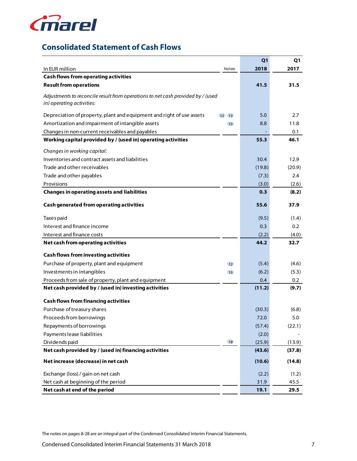

# **Consolidated Statement of Cash Flows**

|                                                                                 |               | Q <sub>1</sub> | Q1     |
|---------------------------------------------------------------------------------|---------------|----------------|--------|
| In EUR million                                                                  | Notes         | 2018           | 2017   |
| <b>Cash flows from operating activities</b>                                     |               |                |        |
| <b>Result from operations</b>                                                   |               | 41.5           | 31.5   |
| Adjustments to reconcile result from operations to net cash provided by / (used |               |                |        |
| in) operating activities:                                                       |               |                |        |
| Depreciation of property, plant and equipment and right of use assets           | $12 \quad 13$ | 5.0            | 2.7    |
| Amortization and impairment of intangible assets                                | 15            | 8.8            | 11.8   |
| Changes in non-current receivables and payables                                 |               |                | 0.1    |
| Working capital provided by / (used in) operating activities                    |               | 55.3           | 46.1   |
| Changes in working capital:                                                     |               |                |        |
| Inventories and contract assets and liabilities                                 |               | 30.4           | 12.9   |
| Trade and other receivables                                                     |               | (19.8)         | (20.9) |
| Trade and other payables                                                        |               | (7.3)          | 2.4    |
| Provisions                                                                      |               | (3.0)          | (2.6)  |
| <b>Changes in operating assets and liabilities</b>                              |               | 0.3            | (8.2)  |
| <b>Cash generated from operating activities</b>                                 |               | 55.6           | 37.9   |
| Taxes paid                                                                      |               | (9.5)          | (1.4)  |
| Interest and finance income                                                     |               | 0.3            | 0.2    |
| Interest and finance costs                                                      |               | (2.2)          | (4.0)  |
| Net cash from operating activities                                              |               | 44.2           | 32.7   |
| <b>Cash flows from investing activities</b>                                     |               |                |        |
| Purchase of property, plant and equipment                                       | 12            | (5.4)          | (4.6)  |
| Investments in intangibles                                                      | 15            | (6.2)          | (5.3)  |
| Proceeds from sale of property, plant and equipment                             |               | 0.4            | 0.2    |
| Net cash provided by / (used in) investing activities                           |               | (11.2)         | (9.7)  |
| <b>Cash flows from financing activities</b>                                     |               |                |        |
| Purchase of treasury shares                                                     |               | (30.3)         | (6.8)  |
| Proceeds from borrowings                                                        |               | 72.0           | 5.0    |
| Repayments of borrowings                                                        |               | (57.4)         | (22.1) |
| Payments lease liabilities                                                      |               | (2.0)          |        |
| Dividends paid                                                                  | 18            | (25.9)         | (13.9) |
| Net cash provided by / (used in) financing activities                           |               | (43.6)         | (37.8) |
| Net increase (decrease) in net cash                                             |               | (10.6)         | (14.8) |
| Exchange (loss) / gain on net cash                                              |               | (2.2)          | (1.2)  |
| Net cash at beginning of the period                                             |               | 31.9           | 45.5   |
| Net cash at end of the period                                                   |               | 19.1           | 29.5   |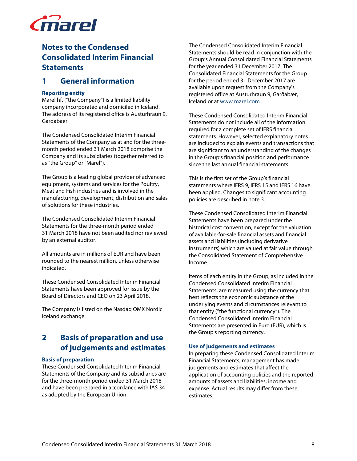

# **Notes to the Condensed Consolidated Interim Financial Statements**

### **1 General information**

### **Reporting entity**

Marel hf. ("the Company") is a limited liability company incorporated and domiciled in Iceland. The address of its registered office is Austurhraun 9, Gardabaer.

The Condensed Consolidated Interim Financial Statements of the Company as at and for the threemonth period ended 31 March 2018 comprise the Company and its subsidiaries (together referred to as "the Group" or "Marel").

The Group is a leading global provider of advanced equipment, systems and services for the Poultry, Meat and Fish industries and is involved in the manufacturing, development, distribution and sales of solutions for these industries.

The Condensed Consolidated Interim Financial Statements for the three-month period ended 31 March 2018 have not been audited nor reviewed by an external auditor.

All amounts are in millions of EUR and have been rounded to the nearest million, unless otherwise indicated.

These Condensed Consolidated Interim Financial Statements have been approved for issue by the Board of Directors and CEO on 23 April 2018.

The Company is listed on the Nasdaq OMX Nordic Iceland exchange.

# **2 Basis of preparation and use of judgements and estimates**

### **Basis of preparation**

These Condensed Consolidated Interim Financial Statements of the Company and its subsidiaries are for the three-month period ended 31 March 2018 and have been prepared in accordance with IAS 34 as adopted by the European Union.

The Condensed Consolidated Interim Financial Statements should be read in conjunction with the Group's Annual Consolidated Financial Statements for the year ended 31 December 2017. The Consolidated Financial Statements for the Group for the period ended 31 December 2017 are available upon request from the Company's registered office at Austurhraun 9, Garðabær, Iceland or at www.marel.com.

These Condensed Consolidated Interim Financial Statements do not include all of the information required for a complete set of IFRS financial statements. However, selected explanatory notes are included to explain events and transactions that are significant to an understanding of the changes in the Group's financial position and performance since the last annual financial statements.

This is the first set of the Group's financial statements where IFRS 9, IFRS 15 and IFRS 16 have been applied. Changes to significant accounting policies are described in note 3.

These Condensed Consolidated Interim Financial Statements have been prepared under the historical cost convention, except for the valuation of available-for-sale financial assets and financial assets and liabilities (including derivative instruments) which are valued at fair value through the Consolidated Statement of Comprehensive Income.

Items of each entity in the Group, as included in the Condensed Consolidated Interim Financial Statements, are measured using the currency that best reflects the economic substance of the underlying events and circumstances relevant to that entity ("the functional currency"). The Condensed Consolidated Interim Financial Statements are presented in Euro (EUR), which is the Group's reporting currency.

#### **Use of judgements and estimates**

In preparing these Condensed Consolidated Interim Financial Statements, management has made judgements and estimates that affect the application of accounting policies and the reported amounts of assets and liabilities, income and expense. Actual results may differ from these estimates.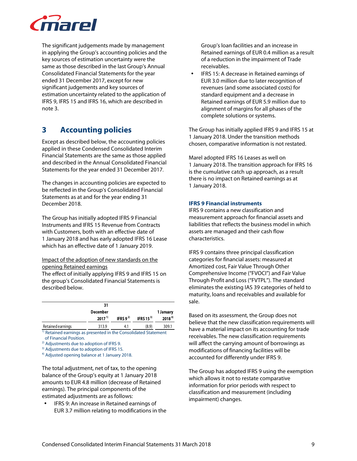

The significant judgements made by management in applying the Group's accounting policies and the key sources of estimation uncertainty were the same as those described in the last Group's Annual Consolidated Financial Statements for the year ended 31 December 2017, except for new significant judgements and key sources of estimation uncertainty related to the application of IFRS 9, IFRS 15 and IFRS 16, which are described in note 3.

# **3 Accounting policies**

Except as described below, the accounting policies applied in these Condensed Consolidated Interim Financial Statements are the same as those applied and described in the Annual Consolidated Financial Statements for the year ended 31 December 2017.

The changes in accounting policies are expected to be reflected in the Group's Consolidated Financial Statements as at and for the year ending 31 December 2018.

The Group has initially adopted IFRS 9 Financial Instruments and IFRS 15 Revenue from Contracts with Customers, both with an effective date of 1 January 2018 and has early adopted IFRS 16 Lease which has an effective date of 1 January 2019.

Impact of the adoption of new standards on the opening Retained earnings

The effect of initially applying IFRS 9 and IFRS 15 on the group's Consolidated Financial Statements is described below.

|                   | 31              |                |             |            |
|-------------------|-----------------|----------------|-------------|------------|
|                   | <b>December</b> |                |             | 1 January  |
|                   | $2017^{11}$     | IFRS 9 $^{2)}$ | IFRS 15 $3$ | $2018^{4}$ |
| Detained consinue | 2120            | $\Lambda$ 1    | (0, 0)      | 2001       |

Retained earnings 13.9 4.1 (8.9) 1) Retained earnings as presented in the Consolidated Statement of Financial Position.

2) Adjustments due to adoption of IFRS 9. <sup>3)</sup> Adjustments due to adoption of IFRS 15.

4) Adjusted opening balance at 1 January 2018.

The total adjustment, net of tax, to the opening balance of the Group's equity at 1 January 2018 amounts to EUR 4.8 million (decrease of Retained earnings). The principal components of the estimated adjustments are as follows:

• IFRS 9: An increase in Retained earnings of EUR 3.7 million relating to modifications in the

Group's loan facilities and an increase in Retained earnings of EUR 0.4 million as a result of a reduction in the impairment of Trade receivables.

• IFRS 15: A decrease in Retained earnings of EUR 3.0 million due to later recognition of revenues (and some associated costs) for standard equipment and a decrease in Retained earnings of EUR 5.9 million due to alignment of margins for all phases of the complete solutions or systems.

The Group has initially applied IFRS 9 and IFRS 15 at 1 January 2018. Under the transition methods chosen, comparative information is not restated.

Marel adopted IFRS 16 Leases as well on 1 January 2018. The transition approach for IFRS 16 is the cumulative catch up approach, as a result there is no impact on Retained earnings as at 1 January 2018.

### **IFRS 9 Financial instruments**

IFRS 9 contains a new classification and measurement approach for financial assets and liabilities that reflects the business model in which assets are managed and their cash flow characteristics.

IFRS 9 contains three principal classification categories for financial assets: measured at Amortized cost, Fair Value Through Other Comprehensive Income ("FVOCI") and Fair Value Through Profit and Loss ("FVTPL"). The standard eliminates the existing IAS 39 categories of held to maturity, loans and receivables and available for sale.

Based on its assessment, the Group does not believe that the new classification requirements will have a material impact on its accounting for trade receivables. The new classification requirements will affect the carrying amount of borrowings as modifications of financing facilities will be accounted for differently under IFRS 9.

The Group has adopted IFRS 9 using the exemption which allows it not to restate comparative information for prior periods with respect to classification and measurement (including impairment) changes.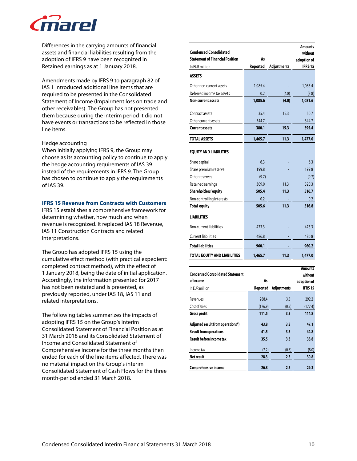

Differences in the carrying amounts of financial assets and financial liabilities resulting from the adoption of IFRS 9 have been recognized in Retained earnings as at 1 January 2018.

Amendments made by IFRS 9 to paragraph 82 of IAS 1 introduced additional line items that are required to be presented in the Consolidated Statement of Income (Impairment loss on trade and other receivables). The Group has not presented them because during the interim period it did not have events or transactions to be reflected in those line items.

### Hedge accounting

When initially applying IFRS 9, the Group may choose as its accounting policy to continue to apply the hedge accounting requirements of IAS 39 instead of the requirements in IFRS 9. The Group has chosen to continue to apply the requirements of IAS 39.

### **IFRS 15 Revenue from Contracts with Customers**

IFRS 15 establishes a comprehensive framework for determining whether, how much and when revenue is recognized. It replaced IAS 18 Revenue, IAS 11 Construction Contracts and related interpretations.

The Group has adopted IFRS 15 using the cumulative effect method (with practical expedient: completed contract method), with the effect of 1 January 2018, being the date of initial application. Accordingly, the information presented for 2017 has not been restated and is presented, as previously reported, under IAS 18, IAS 11 and related interpretations.

The following tables summarizes the impacts of adopting IFRS 15 on the Group's interim Consolidated Statement of Financial Position as at 31 March 2018 and its Consolidated Statement of Income and Consolidated Statement of Comprehensive Income for the three months then ended for each of the line items affected. There was no material impact on the Group's interim Consolidated Statement of Cash Flows for the three month-period ended 31 March 2018.

|                                                                         |          |                    | <b>Amounts</b>               |
|-------------------------------------------------------------------------|----------|--------------------|------------------------------|
| <b>Condensed Consolidated</b><br><b>Statement of Financial Position</b> | As       |                    | without                      |
| In EUR million                                                          | Reported | <b>Adjustments</b> | adoption of<br><b>IFRS15</b> |
|                                                                         |          |                    |                              |
| <b>ASSETS</b>                                                           |          |                    |                              |
| Other non-current assets                                                | 1,085.4  |                    | 1,085.4                      |
| Deferred income tax assets                                              | 0.2      | (4.0)              | (3.8)                        |
| <b>Non-current assets</b>                                               | 1,085.6  | (4.0)              | 1,081.6                      |
|                                                                         |          |                    |                              |
| Contract assets                                                         | 35.4     | 15.3               | 50.7                         |
| Other current assets                                                    | 344.7    |                    | 344.7                        |
| <b>Current assets</b>                                                   | 380.1    | 15.3               | 395.4                        |
| <b>TOTAL ASSETS</b>                                                     | 1,465.7  | 11.3               | 1,477.0                      |
|                                                                         |          |                    |                              |
| <b>EQUITY AND LIABILITIES</b>                                           |          |                    |                              |
| Share capital                                                           | 6.3      |                    | 6.3                          |
| Share premium reserve                                                   | 199.8    |                    | 199.8                        |
| Other reserves                                                          | (9.7)    |                    | (9.7)                        |
| Retained earnings                                                       | 309.0    | 11.3               | 320.3                        |
| Shareholders' equity                                                    | 505.4    | 11.3               | 516.7                        |
| Non-controlling interests                                               | 0.2      |                    | 0.2                          |
| <b>Total equity</b>                                                     | 505.6    | 11.3               | 516.8                        |
| <b>LIABILITIES</b>                                                      |          |                    |                              |
| Non-current liabilities                                                 | 473.3    |                    | 473.3                        |
| <b>Current liabilities</b>                                              | 486.8    |                    | 486.8                        |
| <b>Total liabilities</b>                                                | 960.1    |                    | 960.2                        |
| <b>TOTAL EQUITY AND LIABILITIES</b>                                     | 1,465.7  | 11.3               | 1,477.0                      |
| <b>Condensed Consolidated Statement</b>                                 |          |                    | <b>Amounts</b><br>without    |

| <b>Condensed Consolidated Statement</b> |          |                    | without        |
|-----------------------------------------|----------|--------------------|----------------|
| of Income                               | As       |                    | adoption of    |
| In EUR million                          | Reported | <b>Adjustments</b> | <b>IFRS 15</b> |
| Revenues                                | 288.4    | 3.8                | 292.2          |
|                                         |          |                    |                |
| Cost of sales                           | (176.9)  | (0.5)              | (177.4)        |
| <b>Gross profit</b>                     | 111.5    | 3.3                | 114.8          |
| Adjusted result from operations*)       | 43.8     | 3.3                | 47.1           |
| <b>Result from operations</b>           | 41.5     | 3.3                | 44.8           |
| <b>Result before income tax</b>         | 35.5     | 3.3                | 38.8           |
| Income tax                              | (7.2)    | (0.8)              | (8.0)          |
| Net result                              | 28.3     | $2.5\,$            | 30.8           |
| Comprehensive income                    | 26.8     | 2.5                | 29.3           |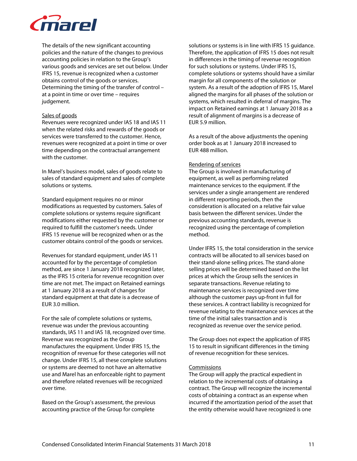

The details of the new significant accounting policies and the nature of the changes to previous accounting policies in relation to the Group's various goods and services are set out below. Under IFRS 15, revenue is recognized when a customer obtains control of the goods or services. Determining the timing of the transfer of control – at a point in time or over time – requires judgement.

### Sales of goods

Revenues were recognized under IAS 18 and IAS 11 when the related risks and rewards of the goods or services were transferred to the customer. Hence, revenues were recognized at a point in time or over time depending on the contractual arrangement with the customer.

In Marel's business model, sales of goods relate to sales of standard equipment and sales of complete solutions or systems.

Standard equipment requires no or minor modifications as requested by customers. Sales of complete solutions or systems require significant modifications either requested by the customer or required to fulfill the customer's needs. Under IFRS 15 revenue will be recognized when or as the customer obtains control of the goods or services.

Revenues for standard equipment, under IAS 11 accounted for by the percentage of completion method, are since 1 January 2018 recognized later, as the IFRS 15 criteria for revenue recognition over time are not met. The impact on Retained earnings at 1 January 2018 as a result of changes for standard equipment at that date is a decrease of EUR 3.0 million.

For the sale of complete solutions or systems, revenue was under the previous accounting standards, IAS 11 and IAS 18, recognized over time. Revenue was recognized as the Group manufactures the equipment. Under IFRS 15, the recognition of revenue for these categories will not change. Under IFRS 15, all these complete solutions or systems are deemed to not have an alternative use and Marel has an enforceable right to payment and therefore related revenues will be recognized over time.

Based on the Group's assessment, the previous accounting practice of the Group for complete

solutions or systems is in line with IFRS 15 guidance. Therefore, the application of IFRS 15 does not result in differences in the timing of revenue recognition for such solutions or systems. Under IFRS 15, complete solutions or systems should have a similar margin for all components of the solution or system. As a result of the adoption of IFRS 15, Marel aligned the margins for all phases of the solution or systems, which resulted in deferral of margins. The impact on Retained earnings at 1 January 2018 as a result of alignment of margins is a decrease of EUR 5.9 million.

As a result of the above adjustments the opening order book as at 1 January 2018 increased to EUR 488 million.

### Rendering of services

The Group is involved in manufacturing of equipment, as well as performing related maintenance services to the equipment. If the services under a single arrangement are rendered in different reporting periods, then the consideration is allocated on a relative fair value basis between the different services. Under the previous accounting standards, revenue is recognized using the percentage of completion method.

Under IFRS 15, the total consideration in the service contracts will be allocated to all services based on their stand-alone selling prices. The stand-alone selling prices will be determined based on the list prices at which the Group sells the services in separate transactions. Revenue relating to maintenance services is recognized over time although the customer pays up-front in full for these services. A contract liability is recognized for revenue relating to the maintenance services at the time of the initial sales transaction and is recognized as revenue over the service period.

The Group does not expect the application of IFRS 15 to result in significant differences in the timing of revenue recognition for these services.

### **Commissions**

The Group will apply the practical expedient in relation to the incremental costs of obtaining a contract. The Group will recognize the incremental costs of obtaining a contract as an expense when incurred if the amortization period of the asset that the entity otherwise would have recognized is one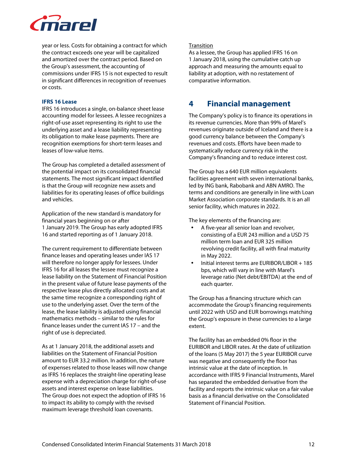

year or less. Costs for obtaining a contract for which the contract exceeds one year will be capitalized and amortized over the contract period. Based on the Group's assessment, the accounting of commissions under IFRS 15 is not expected to result in significant differences in recognition of revenues or costs.

#### **IFRS 16 Lease**

IFRS 16 introduces a single, on-balance sheet lease accounting model for lessees. A lessee recognizes a right-of-use asset representing its right to use the underlying asset and a lease liability representing its obligation to make lease payments. There are recognition exemptions for short-term leases and leases of low-value items.

The Group has completed a detailed assessment of the potential impact on its consolidated financial statements. The most significant impact identified is that the Group will recognize new assets and liabilities for its operating leases of office buildings and vehicles.

Application of the new standard is mandatory for financial years beginning on or after 1 January 2019. The Group has early adopted IFRS 16 and started reporting as of 1 January 2018.

The current requirement to differentiate between finance leases and operating leases under IAS 17 will therefore no longer apply for lessees. Under IFRS 16 for all leases the lessee must recognize a lease liability on the Statement of Financial Position in the present value of future lease payments of the respective lease plus directly allocated costs and at the same time recognize a corresponding right of use to the underlying asset. Over the term of the lease, the lease liability is adjusted using financial mathematics methods – similar to the rules for finance leases under the current IAS 17 – and the right of use is depreciated.

As at 1 January 2018, the additional assets and liabilities on the Statement of Financial Position amount to EUR 33.2 million. In addition, the nature of expenses related to those leases will now change as IFRS 16 replaces the straight-line operating lease expense with a depreciation charge for right-of-use assets and interest expense on lease liabilities. The Group does not expect the adoption of IFRS 16 to impact its ability to comply with the revised maximum leverage threshold loan covenants.

### **Transition**

As a lessee, the Group has applied IFRS 16 on 1 January 2018, using the cumulative catch up approach and measuring the amounts equal to liability at adoption, with no restatement of comparative information.

### **4 Financial management**

The Company's policy is to finance its operations in its revenue currencies. More than 99% of Marel's revenues originate outside of Iceland and there is a good currency balance between the Company's revenues and costs. Efforts have been made to systematically reduce currency risk in the Company's financing and to reduce interest cost.

The Group has a 640 EUR million equivalents facilities agreement with seven international banks, led by ING bank, Rabobank and ABN AMRO. The terms and conditions are generally in line with Loan Market Association corporate standards. It is an all senior facility, which matures in 2022.

The key elements of the financing are:

- A five-year all senior loan and revolver, consisting of a EUR 243 million and a USD 75 million term loan and EUR 325 million revolving credit facility, all with final maturity in May 2022.
- Initial interest terms are EURIBOR/LIBOR + 185 bps, which will vary in line with Marel's leverage ratio (Net debt/EBITDA) at the end of each quarter.

The Group has a financing structure which can accommodate the Group's financing requirements until 2022 with USD and EUR borrowings matching the Group's exposure in these currencies to a large extent.

The facility has an embedded 0% floor in the EURIBOR and LIBOR rates. At the date of utilization of the loans (5 May 2017) the 5 year EURIBOR curve was negative and consequently the floor has intrinsic value at the date of inception. In accordance with IFRS 9 Financial Instruments, Marel has separated the embedded derivative from the facility and reports the intrinsic value on a fair value basis as a financial derivative on the Consolidated Statement of Financial Position.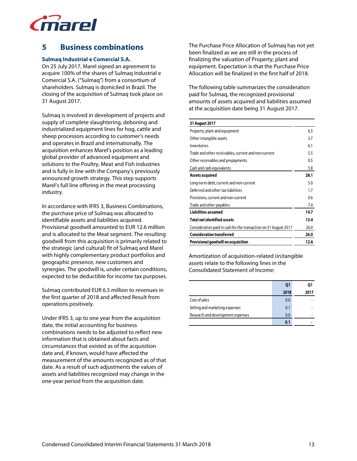

# **5 Business combinations**

### **Sulmaq Industrial e Comercial S.A.**

On 25 July 2017, Marel signed an agreement to acquire 100% of the shares of Sulmaq Industrial e Comercial S.A. ("Sulmaq") from a consortium of shareholders. Sulmaq is domiciled in Brazil. The closing of the acquisition of Sulmaq took place on 31 August 2017.

Sulmaq is involved in development of projects and supply of complete slaughtering, deboning and industrialized equipment lines for hog, cattle and sheep processors according to customer's needs and operates in Brazil and internationally. The acquisition enhances Marel's position as a leading global provider of advanced equipment and solutions to the Poultry, Meat and Fish industries and is fully in line with the Company's previously announced growth strategy. This step supports Marel's full line offering in the meat processing industry.

In accordance with IFRS 3, Business Combinations, the purchase price of Sulmaq was allocated to identifiable assets and liabilities acquired. Provisional goodwill amounted to EUR 12.6 million and is allocated to the Meat segment. The resulting goodwill from this acquisition is primarily related to the strategic (and cultural) fit of Sulmaq and Marel with highly complementary product portfolios and geographic presence, new customers and synergies. The goodwill is, under certain conditions, expected to be deductible for income tax purposes.

Sulmaq contributed EUR 6.5 million to revenues in the first quarter of 2018 and affected Result from operations positively.

Under IFRS 3, up to one year from the acquisition date, the initial accounting for business combinations needs to be adjusted to reflect new information that is obtained about facts and circumstances that existed as of the acquisition date and, if known, would have affected the measurement of the amounts recognized as of that date. As a result of such adjustments the values of assets and liabilities recognized may change in the one-year period from the acquisition date.

The Purchase Price Allocation of Sulmaq has not yet been finalized as we are still in the process of finalizing the valuation of Property, plant and equipment. Expectation is that the Purchase Price Allocation will be finalized in the first half of 2018.

The following table summarizes the consideration paid for Sulmaq, the recognized provisional amounts of assets acquired and liabilities assumed at the acquisition date being 31 August 2017.

#### **31 August 2017**

| Property, plant and equipment                                    | 6.5  |
|------------------------------------------------------------------|------|
| Other intangible assets                                          | 3.7  |
| Inventories                                                      | 6.1  |
| Trade and other receivables, current and non-current             | 5.5  |
| Other receivables and prepayments                                | 0.5  |
| Cash and cash equivalents                                        | 5.8  |
| <b>Assets acquired</b>                                           | 28.1 |
| Long-term debt, current and non-current                          | 5.0  |
| Deferred and other tax liabilities                               | 1.7  |
| Provisions, current and non-current                              | 0.6  |
| Trade and other payables                                         | 7.4  |
| <b>Liabilities assumed</b>                                       | 14.7 |
| <b>Total net identified assets</b>                               | 13.4 |
| Consideration paid in cash for the transaction on 31 August 2017 | 26.0 |
| <b>Consideration transferred</b>                                 | 26.0 |
| Provisional good will on acquisition                             | 12.6 |
|                                                                  |      |

Amortization of acquisition-related (in)tangible assets relate to the following lines in the Consolidated Statement of Income:

|                                   | Q1   | 01   |
|-----------------------------------|------|------|
|                                   | 2018 | 2017 |
| Cost of sales                     | 0.0  |      |
| Selling and marketing expenses    | 0.1  |      |
| Research and development expenses | 0.0  |      |
|                                   | 0.1  |      |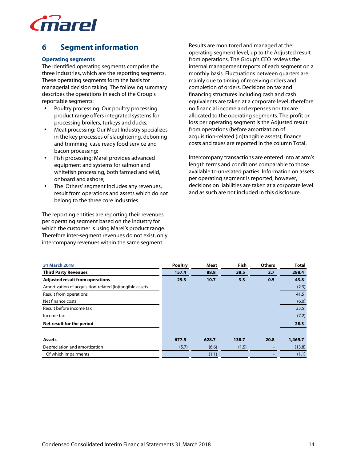

# **6 Segment information**

### **Operating segments**

The identified operating segments comprise the three industries, which are the reporting segments. These operating segments form the basis for managerial decision taking. The following summary describes the operations in each of the Group's reportable segments:

- Poultry processing: Our poultry processing product range offers integrated systems for processing broilers, turkeys and ducks;
- Meat processing: Our Meat Industry specializes in the key processes of slaughtering, deboning and trimming, case ready food service and bacon processing;
- Fish processing: Marel provides advanced equipment and systems for salmon and whitefish processing, both farmed and wild, onboard and ashore;
- The 'Others' segment includes any revenues, result from operations and assets which do not belong to the three core industries.

The reporting entities are reporting their revenues per operating segment based on the industry for which the customer is using Marel's product range. Therefore inter-segment revenues do not exist, only intercompany revenues within the same segment.

Results are monitored and managed at the operating segment level, up to the Adjusted result from operations. The Group's CEO reviews the internal management reports of each segment on a monthly basis. Fluctuations between quarters are mainly due to timing of receiving orders and completion of orders. Decisions on tax and financing structures including cash and cash equivalents are taken at a corporate level, therefore no financial income and expenses nor tax are allocated to the operating segments. The profit or loss per operating segment is the Adjusted result from operations (before amortization of acquisition-related (in)tangible assets); finance costs and taxes are reported in the column Total.

Intercompany transactions are entered into at arm's length terms and conditions comparable to those available to unrelated parties. Information on assets per operating segment is reported; however, decisions on liabilities are taken at a corporate level and as such are not included in this disclosure.

| 31 March 2018                                           | <b>Poultry</b> | <b>Meat</b> | Fish  | <b>Others</b> | <b>Total</b> |
|---------------------------------------------------------|----------------|-------------|-------|---------------|--------------|
| <b>Third Party Revenues</b>                             | 157.4          | 88.8        | 38.5  | 3,7           | 288.4        |
| <b>Adjusted result from operations</b>                  | 29.3           | 10.7        | 3.3   | 0.5           | 43.8         |
| Amortization of acquisition-related (in)tangible assets |                |             |       |               | (2.3)        |
| Result from operations                                  |                |             |       |               | 41.5         |
| Net finance costs                                       |                |             |       |               | (6.0)        |
| Result before income tax                                |                |             |       |               | 35.5         |
| Income tax                                              |                |             |       |               | (7.2)        |
| Net result for the period                               |                |             |       |               | 28.3         |
| <b>Assets</b>                                           | 677.5          | 628.7       | 138.7 | 20.8          | 1,465.7      |
| Depreciation and amortization                           | (5.7)          | (6.6)       | (1.5) |               | (13.8)       |
| Of which Impairments                                    |                | (1.1)       |       |               | (1.1)        |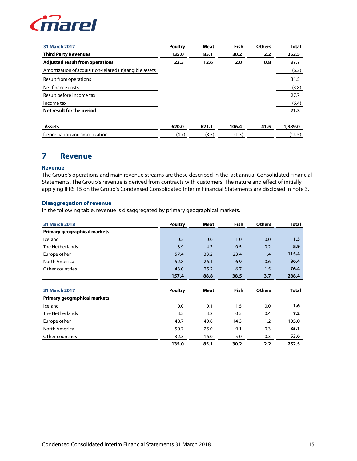

| 31 March 2017                                           | <b>Poultry</b> | Meat  | <b>Fish</b> | <b>Others</b> | <b>Total</b> |
|---------------------------------------------------------|----------------|-------|-------------|---------------|--------------|
| <b>Third Party Revenues</b>                             | 135.0          | 85.1  | 30.2        | 2.2           | 252.5        |
| <b>Adjusted result from operations</b>                  | 22.3           | 12.6  | 2.0         | 0.8           | 37.7         |
| Amortization of acquisition-related (in)tangible assets |                |       |             |               | (6.2)        |
| Result from operations                                  |                |       |             |               | 31.5         |
| Net finance costs                                       |                |       |             |               | (3.8)        |
| Result before income tax                                |                |       |             |               | 27.7         |
| Income tax                                              |                |       |             |               | (6.4)        |
| Net result for the period                               |                |       |             |               | 21.3         |
| <b>Assets</b>                                           | 620.0          | 621.1 | 106.4       | 41.5          | 1,389.0      |
| Depreciation and amortization                           | (4.7)          | (8.5) | (1.3)       |               | (14.5)       |

### **7 Revenue**

### **Revenue**

The Group's operations and main revenue streams are those described in the last annual Consolidated Financial Statements. The Group's revenue is derived from contracts with customers. The nature and effect of initially applying IFRS 15 on the Group's Condensed Consolidated Interim Financial Statements are disclosed in note 3.

### **Disaggregation of revenue**

In the following table, revenue is disaggregated by primary geographical markets.

| 31 March 2018                | <b>Poultry</b> | Meat        | Fish | <b>Others</b> | <b>Total</b> |
|------------------------------|----------------|-------------|------|---------------|--------------|
| Primary geographical markets |                |             |      |               |              |
| Iceland                      | 0.3            | 0.0         | 1.0  | 0.0           | 1.3          |
| The Netherlands              | 3.9            | 4.3         | 0.5  | 0.2           | 8.9          |
| Europe other                 | 57.4           | 33.2        | 23.4 | 1.4           | 115.4        |
| North America                | 52.8           | 26.1        | 6.9  | 0.6           | 86.4         |
| Other countries              | 43.0           | 25.2        | 6.7  | 1.5           | 76.4         |
|                              | 157.4          | 88.8        | 38.5 | 3.7           | 288.4        |
|                              |                |             |      |               |              |
| 31 March 2017                | <b>Poultry</b> | <b>Meat</b> | Fish | <b>Others</b> | <b>Total</b> |
| Primary geographical markets |                |             |      |               |              |
| Iceland                      | 0.0            | 0.1         | 1.5  | 0.0           | 1.6          |
| The Netherlands              | 3.3            | 3.2         | 0.3  | 0.4           | 7.2          |
| Europe other                 | 48.7           | 40.8        | 14.3 | 1.2           | 105.0        |
| North America                | 50.7           | 25.0        | 9.1  | 0.3           | 85.1         |
| Other countries              | 32.3           | 16.0        | 5.0  | 0.3           | 53.6         |
|                              | 135.0          | 85.1        | 30.2 | 2.2           | 252.5        |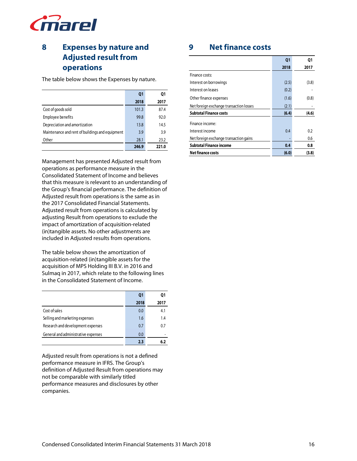

# **8 Expenses by nature and Adjusted result from operations**

The table below shows the Expenses by nature.

|                                                 | Q <sub>1</sub> | 01    |
|-------------------------------------------------|----------------|-------|
|                                                 | 2018           | 2017  |
| Cost of goods sold                              | 101.3          | 87.4  |
| Employee benefits                               | 99.8           | 92.0  |
| Depreciation and amortization                   | 13.8           | 14.5  |
| Maintenance and rent of buildings and equipment | 3.9            | 3.9   |
| Other                                           | 28.1           | 23.2  |
|                                                 | 246.9          | 221.0 |

Management has presented Adjusted result from operations as performance measure in the Consolidated Statement of Income and believes that this measure is relevant to an understanding of the Group's financial performance. The definition of Adjusted result from operations is the same as in the 2017 Consolidated Financial Statements. Adjusted result from operations is calculated by adjusting Result from operations to exclude the impact of amortization of acquisition-related (in)tangible assets. No other adjustments are included in Adjusted results from operations.

The table below shows the amortization of acquisition-related (in)tangible assets for the acquisition of MPS Holding III B.V. in 2016 and Sulmaq in 2017, which relate to the following lines in the Consolidated Statement of Income.

|                                     | Q1   | 01   |
|-------------------------------------|------|------|
|                                     | 2018 | 2017 |
| Cost of sales                       | 0.0  | 4.1  |
| Selling and marketing expenses      | 1.6  | 1.4  |
| Research and development expenses   | 0.7  | 0.7  |
| General and administrative expenses | 0.0  |      |
|                                     | 2.3  |      |

Adjusted result from operations is not a defined performance measure in IFRS. The Group's definition of Adjusted Result from operations may not be comparable with similarly titled performance measures and disclosures by other companies.

# **9 Net finance costs**

|                                         | Q <sub>1</sub> | Ο1    |
|-----------------------------------------|----------------|-------|
|                                         | 2018           | 2017  |
| Finance costs:                          |                |       |
| Interest on borrowings                  | (2.5)          | (3.8) |
| Interest on leases                      | (0.2)          |       |
| Other finance expenses                  | (1.6)          | (0.8) |
| Net foreign exchange transaction losses | (2.1)          |       |
| <b>Subtotal Finance costs</b>           | (6.4)          | (4.6) |
| Finance income:                         |                |       |
| Interest income                         | 0.4            | 0.2   |
| Net foreign exchange transaction gains  |                | 0.6   |
| <b>Subtotal Finance income</b>          | 0.4            | 0.8   |
| <b>Net finance costs</b>                | (6.0)          | (3.8) |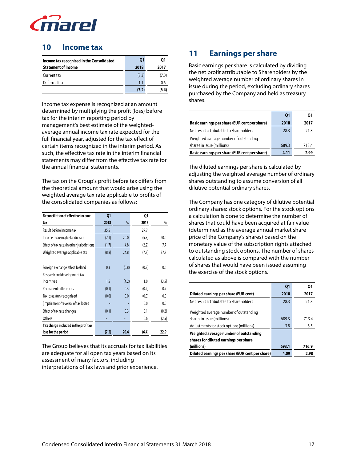

### **10 Income tax**

| Income tax recognized in the Consolidated | Q1    | 01    |
|-------------------------------------------|-------|-------|
| <b>Statement of Income</b>                | 2018  | 2017  |
| Current tax                               | (8.3) | (7.0) |
| Deferred tax                              | 1.1   | 0.6   |
|                                           | (7.2) | (6.4) |

Income tax expense is recognized at an amount determined by multiplying the profit (loss) before tax for the interim reporting period by management's best estimate of the weightedaverage annual income tax rate expected for the full financial year, adjusted for the tax effect of certain items recognized in the interim period. As such, the effective tax rate in the interim financial statements may differ from the effective tax rate for the annual financial statements.

The tax on the Group's profit before tax differs from the theoretical amount that would arise using the weighted average tax rate applicable to profits of the consolidated companies as follows:

| <b>Reconciliation of effective income</b>  | Q <sub>1</sub> |       | Q1    |       |
|--------------------------------------------|----------------|-------|-------|-------|
| tax                                        | 2018           | %     | 2017  | %     |
| Result before income tax                   | 35.5           |       | 27.7  |       |
| Income tax using Icelandic rate            | (7.1)          | 20.0  | (5.5) | 20.0  |
| Effect of tax rates in other jurisdictions | (1.7)          | 4.8   | (2.2) | 7.7   |
| Weighted average applicable tax            | (8.8)          | 24.8  | (7.7) | 27.7  |
|                                            |                |       |       |       |
| Foreign exchange effect Iceland            | 0.3            | (0.8) | (0.2) | 0.6   |
| Research and development tax               |                |       |       |       |
| incentives                                 | 1.5            | (4.2) | 1.0   | (3.5) |
| Permanent differences                      | (0.1)          | 0.3   | (0.2) | 0.7   |
| Tax losses (un)recognized                  | (0.0)          | 0.0   | (0.0) | 0.0   |
| (Impairment)/reversal of tax losses        |                |       | 0.0   | 0.0   |
| Effect of tax rate changes                 | (0.1)          | 0.3   | 0.1   | (0.2) |
| Others                                     |                |       | 0.6   | (2.5) |
| Tax charge included in the profit or       |                |       |       |       |
| loss for the period                        | (7.2)          | 20.4  | (6.4) | 22.9  |

The Group believes that its accruals for tax liabilities are adequate for all open tax years based on its assessment of many factors, including interpretations of tax laws and prior experience.

# **11 Earnings per share**

Basic earnings per share is calculated by dividing the net profit attributable to Shareholders by the weighted average number of ordinary shares in issue during the period, excluding ordinary shares purchased by the Company and held as treasury shares.

|                                               | Q1    | 01    |
|-----------------------------------------------|-------|-------|
| Basic earnings per share (EUR cent per share) | 2018  | 2017  |
| Net result attributable to Shareholders       | 28.3  | 21.3  |
| Weighted average number of outstanding        |       |       |
| shares in issue (millions)                    | 689.3 | 713.4 |
| Basic earnings per share (EUR cent per share) | 4.11  | 2.99  |

The diluted earnings per share is calculated by adjusting the weighted average number of ordinary shares outstanding to assume conversion of all dilutive potential ordinary shares.

The Company has one category of dilutive potential ordinary shares: stock options. For the stock options a calculation is done to determine the number of shares that could have been acquired at fair value (determined as the average annual market share price of the Company's shares) based on the monetary value of the subscription rights attached to outstanding stock options. The number of shares calculated as above is compared with the number of shares that would have been issued assuming the exercise of the stock options.

|                                                 | <b>Q1</b> | 01    |
|-------------------------------------------------|-----------|-------|
| Diluted earnings per share (EUR cent)           | 2018      | 2017  |
| Net result attributable to Shareholders         | 28.3      | 21.3  |
| Weighted average number of outstanding          |           |       |
| shares in issue (millions)                      | 689.3     | 713.4 |
| Adjustments for stock options (millions)        | 3.8       | 3.5   |
| Weighted average number of outstanding          |           |       |
| shares for diluted earnings per share           |           |       |
| (millions)                                      | 693.1     | 716.9 |
| Diluted earnings per share (EUR cent per share) | 4.09      | 2.98  |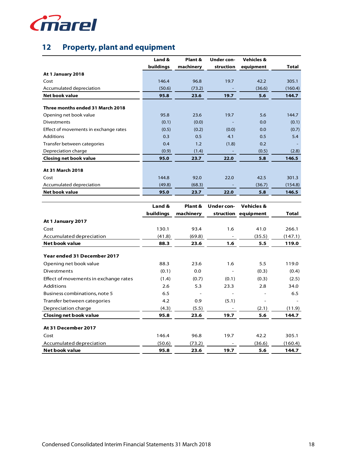

# **12 Property, plant and equipment**

|                                       | Land &    | Plant &   | Under con- | <b>Vehicles &amp;</b> |              |
|---------------------------------------|-----------|-----------|------------|-----------------------|--------------|
|                                       | buildings | machinery | struction  | equipment             | <b>Total</b> |
| At 1 January 2018                     |           |           |            |                       |              |
| Cost                                  | 146.4     | 96.8      | 19.7       | 42.2                  | 305.1        |
| Accumulated depreciation              | (50.6)    | (73.2)    |            | (36.6)                | (160.4)      |
| <b>Net book value</b>                 | 95.8      | 23.6      | 19.7       | 5.6                   | 144.7        |
| Three months ended 31 March 2018      |           |           |            |                       |              |
| Opening net book value                | 95.8      | 23.6      | 19.7       | 5.6                   | 144.7        |
| <b>Divestments</b>                    | (0.1)     | (0.0)     |            | 0.0                   | (0.1)        |
| Effect of movements in exchange rates | (0.5)     | (0.2)     | (0.0)      | 0.0                   | (0.7)        |
| <b>Additions</b>                      | 0.3       | 0.5       | 4.1        | 0.5                   | 5.4          |
| Transfer between categories           | 0.4       | 1.2       | (1.8)      | 0.2                   |              |
| Depreciation charge                   | (0.9)     | (1.4)     |            | (0.5)                 | (2.8)        |
| <b>Closing net book value</b>         | 95.0      | 23.7      | 22.0       | 5.8                   | 146.5        |
| At 31 March 2018                      |           |           |            |                       |              |
| Cost                                  | 144.8     | 92.0      | 22.0       | 42.5                  | 301.3        |
| Accumulated depreciation              | (49.8)    | (68.3)    |            | (36.7)                | (154.8)      |
| <b>Net book value</b>                 | 95.0      | 23.7      | 22.0       | 5.8                   | 146.5        |

|                                       | Land &    | Plant &   | Under con- | <b>Vehicles &amp;</b> |         |
|---------------------------------------|-----------|-----------|------------|-----------------------|---------|
|                                       | buildings | machinery |            | struction equipment   | Total   |
| At 1 January 2017                     |           |           |            |                       |         |
| Cost                                  | 130.1     | 93.4      | 1.6        | 41.0                  | 266.1   |
| Accumulated depreciation              | (41.8)    | (69.8)    |            | (35.5)                | (147.1) |
| Net book value                        | 88.3      | 23.6      | 1.6        | 5.5                   | 119.0   |
| Year ended 31 December 2017           |           |           |            |                       |         |
| Opening net book value                | 88.3      | 23.6      | 1.6        | 5.5                   | 119.0   |
| Divestments                           | (0.1)     | 0.0       |            | (0.3)                 | (0.4)   |
| Effect of movements in exchange rates | (1.4)     | (0.7)     | (0.1)      | (0.3)                 | (2.5)   |
| Additions                             | 2.6       | 5.3       | 23.3       | 2.8                   | 34.0    |
| Business combinations, note 5         | 6.5       |           |            |                       | 6.5     |
| Transfer between categories           | 4.2       | 0.9       | (5.1)      |                       |         |
| Depreciation charge                   | (4.3)     | (5.5)     |            | (2.1)                 | (11.9)  |
| <b>Closing net book value</b>         | 95.8      | 23.6      | 19.7       | 5.6                   | 144.7   |
| At 31 December 2017                   |           |           |            |                       |         |
| Cost                                  | 146.4     | 96.8      | 19.7       | 42.2                  | 305.1   |
| Accumulated depreciation              | (50.6)    | (73.2)    |            | (36.6)                | (160.4) |
| Net book value                        | 95.8      | 23.6      | 19.7       | 5.6                   | 144.7   |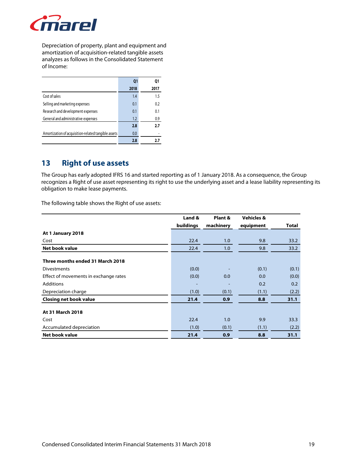

Depreciation of property, plant and equipment and amortization of acquisition-related tangible assets analyzes as follows in the Consolidated Statement of Income:

|                                                     | Q <sub>1</sub> | 01   |
|-----------------------------------------------------|----------------|------|
|                                                     | 2018           | 2017 |
| Cost of sales                                       | 1.4            | 1.5  |
| Selling and marketing expenses                      | 0.1            | 0.2  |
| Research and development expenses                   | 0.1            | 0.1  |
| General and administrative expenses                 | 1.2            | 0.9  |
|                                                     | 2.8            | 2.7  |
| Amortization of acquisition-related tangible assets | 0.0            |      |
|                                                     | 2.8            | 2.7  |

### **13 Right of use assets**

The Group has early adopted IFRS 16 and started reporting as of 1 January 2018. As a consequence, the Group recognizes a Right of use asset representing its right to use the underlying asset and a lease liability representing its obligation to make lease payments.

The following table shows the Right of use assets:

|                                       | Land &    | Plant &   | <b>Vehicles &amp;</b> |              |
|---------------------------------------|-----------|-----------|-----------------------|--------------|
|                                       | buildings | machinery | equipment             | <b>Total</b> |
| At 1 January 2018                     |           |           |                       |              |
| Cost                                  | 22.4      | 1.0       | 9.8                   | 33.2         |
| <b>Net book value</b>                 | 22.4      | 1.0       | 9.8                   | 33.2         |
| Three months ended 31 March 2018      |           |           |                       |              |
| <b>Divestments</b>                    | (0.0)     |           | (0.1)                 | (0.1)        |
| Effect of movements in exchange rates | (0.0)     | 0.0       | 0.0                   | (0.0)        |
| Additions                             |           |           | 0.2                   | 0.2          |
| Depreciation charge                   | (1.0)     | (0.1)     | (1.1)                 | (2.2)        |
| <b>Closing net book value</b>         | 21.4      | 0.9       | 8.8                   | 31.1         |
| At 31 March 2018                      |           |           |                       |              |
| Cost                                  | 22.4      | 1.0       | 9.9                   | 33.3         |
| Accumulated depreciation              | (1.0)     | (0.1)     | (1.1)                 | (2.2)        |
| Net book value                        | 21.4      | 0.9       | 8.8                   | 31.1         |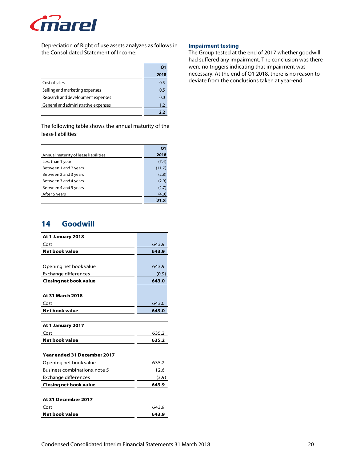

Depreciation of Right of use assets analyzes as follows in the Consolidated Statement of Income:

|                                     | O1   |
|-------------------------------------|------|
|                                     | 2018 |
| Cost of sales                       | 0.5  |
| Selling and marketing expenses      | 0.5  |
| Research and development expenses   | 0.0  |
| General and administrative expenses | 1.2  |
|                                     | วว   |

The following table shows the annual maturity of the lease liabilities:

|                                      | Q <sub>1</sub> |
|--------------------------------------|----------------|
| Annual maturity of lease liabilities | 2018           |
| Less than 1 year                     | (7.4)          |
| Between 1 and 2 years                | (11.7)         |
| Between 2 and 3 years                | (2.8)          |
| Between 3 and 4 years                | (2.9)          |
| Between 4 and 5 years                | (2.7)          |
| After 5 years                        | (4.0)          |
|                                      | (31.5)         |

### **14 Goodwill**

| At 1 January 2018             |       |
|-------------------------------|-------|
| Cost                          | 643.9 |
| <b>Net book value</b>         | 643.9 |
|                               |       |
| Opening net book value        | 643.9 |
| Exchange differences          | (0.9) |
| <b>Closing net book value</b> | 643.0 |
|                               |       |
| <b>At 31 March 2018</b>       |       |
| Cost                          | 643.0 |
| <b>Net book value</b>         | 643.0 |
|                               |       |
| At 1 January 2017             |       |
| Cost                          | 635.2 |
| Net book value                | 635.2 |
|                               |       |
| Year ended 31 December 2017   |       |
| Opening net book value        | 635.2 |
| Business combinations, note 5 | 12.6  |
| Exchange differences          | (3.9) |
| <b>Closing net book value</b> | 643.9 |
|                               |       |
| At 31 December 2017           |       |
| Cost                          | 643.9 |
| Net book value                | 643.9 |

#### **Impairment testing**

The Group tested at the end of 2017 whether goodwill had suffered any impairment. The conclusion was there were no triggers indicating that impairment was necessary. At the end of Q1 2018, there is no reason to deviate from the conclusions taken at year-end.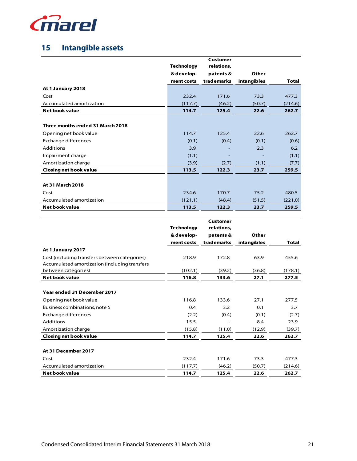

# **15 Intangible assets**

|                                  |                   | Customer   |             |         |
|----------------------------------|-------------------|------------|-------------|---------|
|                                  | <b>Technology</b> | relations, |             |         |
|                                  | & develop-        | patents &  | Other       |         |
|                                  | ment costs        | trademarks | intangibles | Total   |
| At 1 January 2018                |                   |            |             |         |
| Cost                             | 232.4             | 171.6      | 73.3        | 477.3   |
| Accumulated amortization         | (117.7)           | (46.2)     | (50.7)      | (214.6) |
| <b>Net book value</b>            | 114.7             | 125.4      | 22.6        | 262.7   |
|                                  |                   |            |             |         |
| Three months ended 31 March 2018 |                   |            |             |         |
| Opening net book value           | 114.7             | 125.4      | 22.6        | 262.7   |
| Exchange differences             | (0.1)             | (0.4)      | (0.1)       | (0.6)   |
| <b>Additions</b>                 | 3.9               |            | 2.3         | 6.2     |
| Impairment charge                | (1.1)             |            |             | (1.1)   |
| Amortization charge              | (3.9)             | (2.7)      | (1.1)       | (7.7)   |
| <b>Closing net book value</b>    | 113.5             | 122.3      | 23.7        | 259.5   |
|                                  |                   |            |             |         |
| At 31 March 2018                 |                   |            |             |         |
| Cost                             | 234.6             | 170.7      | 75.2        | 480.5   |
| Accumulated amortization         | (121.1)           | (48.4)     | (51.5)      | (221.0) |
| Net book value                   | 113.5             | 122.3      | 23.7        | 259.5   |

|                                               |                   | Customer   |             |         |
|-----------------------------------------------|-------------------|------------|-------------|---------|
|                                               | <b>Technology</b> | relations, |             |         |
|                                               | & develop-        | patents &  | Other       |         |
|                                               | ment costs        | trademarks | intangibles | Total   |
| At 1 January 2017                             |                   |            |             |         |
| Cost (including transfers between categories) | 218.9             | 172.8      | 63.9        | 455.6   |
| Accumulated amortization (including transfers |                   |            |             |         |
| between categories)                           | (102.1)           | (39.2)     | (36.8)      | (178.1) |
| Net book value                                | 116.8             | 133.6      | 27.1        | 277.5   |
|                                               |                   |            |             |         |
| Year ended 31 December 2017                   |                   |            |             |         |
| Opening net book value                        | 116.8             | 133.6      | 27.1        | 277.5   |
| Business combinations, note 5                 | 0.4               | 3.2        | 0.1         | 3.7     |
| Exchange differences                          | (2.2)             | (0.4)      | (0.1)       | (2.7)   |
| <b>Additions</b>                              | 15.5              |            | 8.4         | 23.9    |
| Amortization charge                           | (15.8)            | (11.0)     | (12.9)      | (39.7)  |
| <b>Closing net book value</b>                 | 114.7             | 125.4      | 22.6        | 262.7   |
|                                               |                   |            |             |         |
| At 31 December 2017                           |                   |            |             |         |
| Cost                                          | 232.4             | 171.6      | 73.3        | 477.3   |
| Accumulated amortization                      | (117.7)           | (46.2)     | (50.7)      | (214.6) |
| Net book value                                | 114.7             | 125.4      | 22.6        | 262.7   |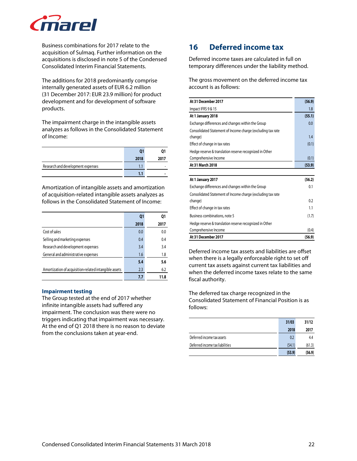

Business combinations for 2017 relate to the acquisition of Sulmaq. Further information on the acquisitions is disclosed in note 5 of the Condensed Consolidated Interim Financial Statements.

The additions for 2018 predominantly comprise internally generated assets of EUR 6.2 million (31 December 2017: EUR 23.9 million) for product development and for development of software products.

The impairment charge in the intangible assets analyzes as follows in the Consolidated Statement of Income:

|                                   |      | 01   |
|-----------------------------------|------|------|
|                                   | 2018 | 2017 |
| Research and development expenses |      |      |
|                                   | 1.1  |      |

Amortization of intangible assets and amortization of acquisition-related intangible assets analyzes as follows in the Consolidated Statement of Income:

|                                                       | Q1   | 01   |
|-------------------------------------------------------|------|------|
|                                                       | 2018 | 2017 |
| Cost of sales                                         | 0.0  | 0.0  |
| Selling and marketing expenses                        | 0.4  | 0.4  |
| Research and development expenses                     | 3.4  | 3.4  |
| General and administrative expenses                   | 1.6  | 1.8  |
|                                                       | 5.4  | 5.6  |
| Amortization of acquisition-related intangible assets | 2.3  | 6.2  |
|                                                       | 7.7  | 11.8 |

#### **Impairment testing**

The Group tested at the end of 2017 whether infinite intangible assets had suffered any impairment. The conclusion was there were no triggers indicating that impairment was necessary. At the end of Q1 2018 there is no reason to deviate from the conclusions taken at year-end.

# **16 Deferred income tax**

Deferred income taxes are calculated in full on temporary differences under the liability method.

The gross movement on the deferred income tax account is as follows:

| At 31 December 2017                                         | (56.9) |
|-------------------------------------------------------------|--------|
| Impact IFRS 9 & 15                                          | 1.8    |
| At 1 January 2018                                           | (55.1) |
| Exchange differences and changes within the Group           | 0.0    |
| Consolidated Statement of Income charge (excluding tax rate |        |
| change)                                                     | 1.4    |
| Effect of change in tax rates                               | (0.1)  |
| Hedge reserve & translation reserve recognized in Other     |        |
| Comprehensive Income                                        | (0.1)  |
| At 31 March 2018                                            | (53.9) |
|                                                             |        |
| At 1 January 2017                                           | (56.2) |
| Exchange differences and changes within the Group           | 0.1    |
| Consolidated Statement of Income charge (excluding tax rate |        |
| change)                                                     | 0.2    |
| Effect of change in tax rates                               | 1.1    |
| Business combinations, note 5                               | (1.7)  |
| Hedge reserve & translation reserve recognized in Other     |        |
| Comprehensive Income                                        | (0.4)  |
| At 31 December 2017                                         | (56.9) |

Deferred income tax assets and liabilities are offset when there is a legally enforceable right to set off current tax assets against current tax liabilities and when the deferred income taxes relate to the same fiscal authority.

The deferred tax charge recognized in the Consolidated Statement of Financial Position is as follows:

|                                 | 31/03  | 31/12  |
|---------------------------------|--------|--------|
|                                 | 2018   | 2017   |
| Deferred income tax assets      | 0.2    | 4.4    |
| Deferred income tax liabilities | (54.1) | (61.3) |
|                                 | (53.9) | (56.9) |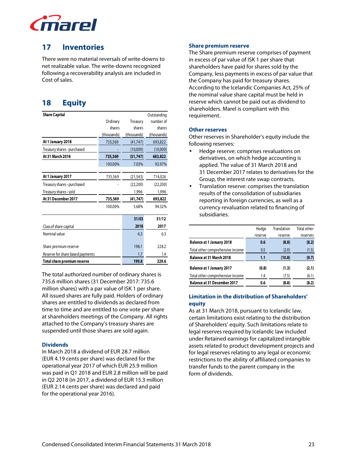

### **17 Inventories**

There were no material reversals of write-downs to net realizable value. The write-downs recognized following a recoverability analysis are included in Cost of sales.

# **18 Equity**

| <b>Share Capital</b>             |             |             | Outstanding |
|----------------------------------|-------------|-------------|-------------|
|                                  | Ordinary    | Treasury    | number of   |
|                                  | shares      | shares      | shares      |
|                                  | (thousands) | (thousands) | (thousands) |
| At 1 January 2018                | 735,569     | (41, 747)   | 693,822     |
| Treasury shares - purchased      |             | (10,000)    | (10,000)    |
| At 31 March 2018                 | 735,569     | (51, 747)   | 683,822     |
|                                  | 100.00%     | 7.03%       | 92.97%      |
|                                  |             |             |             |
| At 1 January 2017                | 735,569     | (21, 543)   | 714,026     |
| Treasury shares - purchased      |             | (22, 200)   | (22, 200)   |
| Treasury shares - sold           |             | 1,996       | 1,996       |
| At 31 December 2017              | 735,569     | (41, 747)   | 693,822     |
|                                  | 100.00%     | 5.68%       | 94.32%      |
|                                  |             | 31/03       | 31/12       |
| Class of share capital           |             | 2018        | 2017        |
| Nominal value                    |             | 6.3         | 6.3         |
|                                  |             |             |             |
| Share premium reserve            |             | 198.1       | 228.2       |
| Reserve for share based payments |             | 1.7         | 1.4         |
| Total share premium reserve      |             | 199.8       | 229.6       |
|                                  |             |             |             |

The total authorized number of ordinary shares is 735.6 million shares (31 December 2017: 735.6 million shares) with a par value of ISK 1 per share. All issued shares are fully paid. Holders of ordinary shares are entitled to dividends as declared from time to time and are entitled to one vote per share at shareholders meetings of the Company. All rights attached to the Company's treasury shares are suspended until those shares are sold again.

### **Dividends**

In March 2018 a dividend of EUR 28.7 million (EUR 4.19 cents per share) was declared for the operational year 2017 of which EUR 25.9 million was paid in Q1 2018 and EUR 2.8 million will be paid in Q2 2018 (in 2017, a dividend of EUR 15.3 million (EUR 2.14 cents per share) was declared and paid for the operational year 2016).

#### **Share premium reserve**

The Share premium reserve comprises of payment in excess of par value of ISK 1 per share that shareholders have paid for shares sold by the Company, less payments in excess of par value that the Company has paid for treasury shares. According to the Icelandic Companies Act, 25% of the nominal value share capital must be held in reserve which cannot be paid out as dividend to shareholders. Marel is compliant with this requirement.

#### **Other reserves**

Other reserves in Shareholder's equity include the following reserves:

- Hedge reserve: comprises revaluations on derivatives, on which hedge accounting is applied. The value of 31 March 2018 and 31 December 2017 relates to derivatives for the Group, the interest rate swap contracts.
- Translation reserve: comprises the translation results of the consolidation of subsidiaries reporting in foreign currencies, as well as a currency revaluation related to financing of subsidiaries.

|                                    | Hedge   | Translation | Total other |
|------------------------------------|---------|-------------|-------------|
|                                    | reserve | reserve     | reserves    |
| <b>Balance at 1 January 2018</b>   | 0.6     | (8.8)       | (8.2)       |
| Total other comprehensive income   | 0.5     | (2.0)       | (1.5)       |
| <b>Balance at 31 March 2018</b>    | 1.1     | (10.8)      | (9.7)       |
| <b>Balance at 1 January 2017</b>   | (0.8)   | (1.3)       | (2.1)       |
| Total other comprehensive income   | 1.4     | (7.5)       | (6.1)       |
| <b>Balance at 31 December 2017</b> | 0.6     | (8.8)       | (8.2)       |

### **Limitation in the distribution of Shareholders' equity**

As at 31 March 2018, pursuant to Icelandic law, certain limitations exist relating to the distribution of Shareholders' equity. Such limitations relate to legal reserves required by Icelandic law included under Retained earnings for capitalized intangible assets related to product development projects and for legal reserves relating to any legal or economic restrictions to the ability of affiliated companies to transfer funds to the parent company in the form of dividends.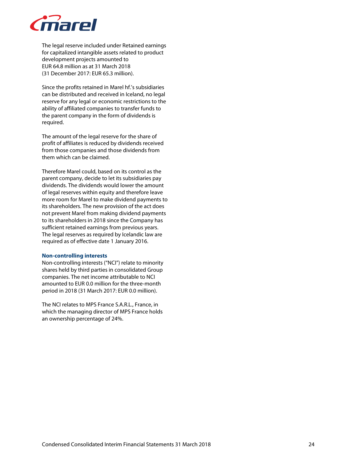

The legal reserve included under Retained earnings for capitalized intangible assets related to product development projects amounted to EUR 64.8 million as at 31 March 2018 (31 December 2017: EUR 65.3 million).

Since the profits retained in Marel hf.'s subsidiaries can be distributed and received in Iceland, no legal reserve for any legal or economic restrictions to the ability of affiliated companies to transfer funds to the parent company in the form of dividends is required.

The amount of the legal reserve for the share of profit of affiliates is reduced by dividends received from those companies and those dividends from them which can be claimed.

Therefore Marel could, based on its control as the parent company, decide to let its subsidiaries pay dividends. The dividends would lower the amount of legal reserves within equity and therefore leave more room for Marel to make dividend payments to its shareholders. The new provision of the act does not prevent Marel from making dividend payments to its shareholders in 2018 since the Company has sufficient retained earnings from previous years. The legal reserves as required by Icelandic law are required as of effective date 1 January 2016.

#### **Non-controlling interests**

Non-controlling interests ("NCI") relate to minority shares held by third parties in consolidated Group companies. The net income attributable to NCI amounted to EUR 0.0 million for the three-month period in 2018 (31 March 2017: EUR 0.0 million).

The NCI relates to MPS France S.A.R.L., France, in which the managing director of MPS France holds an ownership percentage of 24%.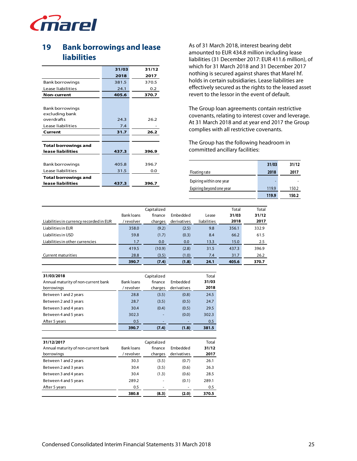

# **19 Bank borrowings and lease liabilities**

|                             | 31/03 | 31/12 |
|-----------------------------|-------|-------|
|                             | 2018  | 2017  |
| Bank borrowings             | 381.5 | 370.5 |
| Lease liabilities           | 24.1  | 0.2   |
| <b>Non-current</b>          | 405.6 | 370.7 |
|                             |       |       |
| Bank borrowings             |       |       |
| excluding bank              |       |       |
| overdrafts                  | 24.3  | 26.2  |
| Lease liabilities           | 7.4   |       |
| Current                     | 31.7  | 26.2  |
|                             |       |       |
| <b>Total borrowings and</b> |       |       |
| lease liabilities           | 437.3 | 396.9 |
|                             |       |       |
| Bank borrowings             | 405.8 | 396.7 |
| Lease liabilities           | 31.5  | 0.0   |
| <b>Total borrowings and</b> |       |       |
| lease liabilities           | 437.3 | 396.7 |
|                             |       |       |

As of 31 March 2018, interest bearing debt amounted to EUR 434.8 million including lease liabilities (31 December 2017: EUR 411.6 million), of which for 31 March 2018 and 31 December 2017 nothing is secured against shares that Marel hf. holds in certain subsidiaries. Lease liabilities are effectively secured as the rights to the leased asset revert to the lessor in the event of default.

The Group loan agreements contain restrictive covenants, relating to interest cover and leverage. At 31 March 2018 and at year end 2017 the Group complies with all restrictive covenants.

The Group has the following headroom in committed ancillary facilities:

|                          | 31/03 | 31/12 |
|--------------------------|-------|-------|
| Floating rate            | 2018  | 2017  |
| Expiring within one year |       |       |
| Expiring beyond one year | 119.9 | 150.2 |
|                          | 119.9 | 150.2 |

|                                         |            | Capitalized |             |             | Total | Total |
|-----------------------------------------|------------|-------------|-------------|-------------|-------|-------|
|                                         | Bank loans | finance     | Embedded    | Lease       | 31/03 | 31/12 |
| Liabilities in currency recorded in EUR | / revolver | charges     | derivatives | liabilities | 2018  | 2017  |
| Liabilities in EUR                      | 358.0      | (9.2)       | (2.5)       | 9.8         | 356.1 | 332.9 |
| Liabilities in USD                      | 59.8       | (1.7)       | (0.3)       | 8.4         | 66.2  | 61.5  |
| Liabilities in other currencies         | 1.7        | 0.0         | 0.0         | 13.3        | 15.0  | 2.5   |
|                                         | 419.5      | (10.9)      | (2.8)       | 31.5        | 437.3 | 396.9 |
| Current maturities                      | 28.8       | (3.5)       | (1.0)       | 7.4         | 31.7  | 26.2  |
|                                         | 390.7      | (7.4)       | (1.8)       | 24.1        | 405.6 | 370.7 |

| 31/03/2018                          |                   | Capitalized |             |       |  |
|-------------------------------------|-------------------|-------------|-------------|-------|--|
| Annual maturity of non-current bank | <b>Bank loans</b> | finance     | Embedded    | 31/03 |  |
| borrowings                          | / revolver        | charges     | derivatives | 2018  |  |
| Between 1 and 2 years               | 28.8              | (3.5)       | (0.8)       | 24.5  |  |
| Between 2 and 3 years               | 28.7              | (3.5)       | (0.5)       | 24.7  |  |
| Between 3 and 4 years               | 30.4              | (0.4)       | (0.5)       | 29.5  |  |
| Between 4 and 5 years               | 302.3             |             | (0.0)       | 302.3 |  |
| After 5 years                       | 0.5               |             |             | 0.5   |  |
|                                     | 390.7             | (7.4)       | (1.8)       | 381.5 |  |

| 31/12/2017<br>Annual maturity of non-current bank | <b>Bank loans</b> | Total<br>31/12 |             |       |
|---------------------------------------------------|-------------------|----------------|-------------|-------|
| borrowings                                        | / revolver        | charges        | derivatives | 2017  |
| Between 1 and 2 years                             | 30.3              | (3.5)          | (0.7)       | 26.1  |
| Between 2 and 3 years                             | 30.4              | (3.5)          | (0.6)       | 26.3  |
| Between 3 and 4 years                             | 30.4              | (1.3)          | (0.6)       | 28.5  |
| Between 4 and 5 years                             | 289.2             |                | (0.1)       | 289.1 |
| After 5 years                                     | 0.5               |                |             | 0.5   |
|                                                   | 380.8             | (8.3)          | (2.0)       | 370.5 |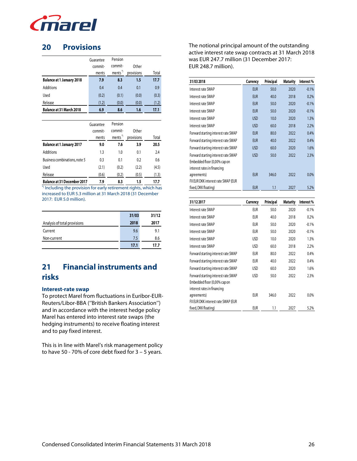

### **20 Provisions**

|                                  | Guarantee | Pension            |            |       |
|----------------------------------|-----------|--------------------|------------|-------|
|                                  | commit-   | commit-            | Other      |       |
|                                  | ments     | ments <sup>*</sup> | provisions | Total |
| <b>Balance at 1 January 2018</b> | 7.9       | 8.3                | 1.5        | 17.7  |
| <b>Additions</b>                 | 0.4       | 0.4                | 0.1        | 0.9   |
| Used                             | (0.2)     | (0.1)              | (0.0)      | (0.3) |
| Release                          | (1.2)     | (0.0)              | (0.0)      | (1.2) |
| Balance at 31 March 2018         | 6.9       | 8.6                | 1.6        | 17.1  |
|                                  |           |                    |            |       |
|                                  |           |                    |            |       |
|                                  | Guarantee | Pension            |            |       |
|                                  | commit-   | commit-            | Other      |       |
|                                  | ments     | ments <sup>*</sup> | provisions | Total |
| <b>Balance at 1 January 2017</b> | 9.0       | 7.6                | 3.9        | 20.5  |
| <b>Additions</b>                 | 1.3       | 1.0                | 0.1        | 2.4   |
| Business combinations, note 5    | 0.3       | 0.1                | 0.2        | 0.6   |
| Used                             | (2.1)     | (0.2)              | (2.2)      | (4.5) |
| Release                          | (0.6)     | (0.2)              | (0.5)      | (1.3) |

\*) Including the provision for early retirement rights, which has increased to EUR 5.3 million at 31 March 2018 (31 December 2017: EUR 5.0 million).

|                              | 31/03 | 31/12 |
|------------------------------|-------|-------|
| Analysis of total provisions | 2018  | 2017  |
| Current                      | 9.6   | 9.1   |
| Non-current                  | 7.5   | 8.6   |
|                              | 17.1  | 17.7  |

# **21 Financial instruments and risks**

#### **Interest-rate swap**

To protect Marel from fluctuations in Euribor-EUR-Reuters/Libor-BBA (''British Bankers Association'') and in accordance with the interest hedge policy Marel has entered into interest rate swaps (the hedging instruments) to receive floating interest and to pay fixed interest.

This is in line with Marel's risk management policy to have 50 - 70% of core debt fixed for 3 – 5 years.

The notional principal amount of the outstanding active interest rate swap contracts at 31 March 2018 was EUR 247.7 million (31 December 2017: EUR 248.7 million).

| 31/03 2018                                                 | Currency   | Principal | <b>Maturity</b> | Interest% |
|------------------------------------------------------------|------------|-----------|-----------------|-----------|
| Interest rate SWAP                                         | <b>EUR</b> | 50.0      | 2020            | $-0.1%$   |
| Interest rate SWAP                                         | <b>EUR</b> | 40.0      | 2018            | 0.2%      |
| Interest rate SWAP                                         | <b>EUR</b> | 50.0      | 2020            | $-0.1%$   |
| Interest rate SWAP                                         | <b>EUR</b> | 50.0      | 2020            | $-0.1%$   |
| Interest rate SWAP                                         | <b>USD</b> | 10.0      | 2020            | 1.3%      |
| Interest rate SWAP                                         | <b>USD</b> | 60.0      | 2018            | 2.2%      |
| Forward starting interest rate SWAP                        | <b>EUR</b> | 80.0      | 2022            | 0.4%      |
| Forward starting interest rate SWAP                        | <b>EUR</b> | 40.0      | 2022            | 0.4%      |
| Forward starting interest rate SWAP                        | <b>USD</b> | 60.0      | 2020            | 1.6%      |
| Forward starting interest rate SWAP                        | <b>USD</b> | 50.0      | 2022            | 2.3%      |
| Embedded floor (0,00% cap on                               |            |           |                 |           |
| interest rates in financing                                |            |           |                 |           |
| agreements)                                                | <b>EUR</b> | 346.0     | 2022            | $0.0\%$   |
| FX EUR DKK interest rate SWAP (EUR                         |            |           |                 |           |
| fixed, DKK floating)                                       | <b>EUR</b> | 1.1       | 2027            | 5.2%      |
| 31/12 2017                                                 | Currency   | Principal | <b>Maturity</b> | Interest% |
| Interest rate SWAP                                         | <b>EUR</b> | 50.0      | 2020            | $-0.1%$   |
| Interest rate SWAP                                         | <b>EUR</b> | 40.0      | 2018            | 0.2%      |
|                                                            |            |           |                 |           |
| Interest rate SWAP                                         | EUR        | 50.0      | 2020            | $-0.1%$   |
| Interest rate SWAP                                         | <b>EUR</b> | 50.0      | 2020            | $-0.1%$   |
| Interest rate SWAP                                         | <b>USD</b> | 10.0      | 2020            | 1.3%      |
| Interest rate SWAP                                         | <b>USD</b> | 60.0      | 2018            | 2.2%      |
| Forward starting interest rate SWAP                        | <b>EUR</b> | 80.0      | 2022            | 0.4%      |
| Forward starting interest rate SWAP                        | <b>EUR</b> | 40.0      | 2022            | 0.4%      |
| Forward starting interest rate SWAP                        | <b>USD</b> | 60.0      | 2020            | 1.6%      |
| Forward starting interest rate SWAP                        | <b>USD</b> | 50.0      | 2022            | 2.3%      |
| Embedded floor (0,00% cap on                               |            |           |                 |           |
| interest rates in financing                                |            |           |                 |           |
| agreements)                                                | EUR        | 346.0     | 2022            | 0.0%      |
| FX EUR DKK interest rate SWAP (EUR<br>fixed, DKK floating) | <b>EUR</b> | 1.1       | 2027            | 5.2%      |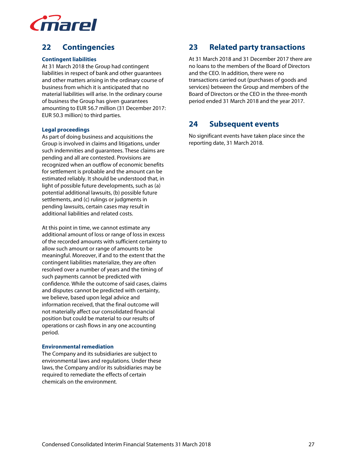

# **22 Contingencies**

### **Contingent liabilities**

At 31 March 2018 the Group had contingent liabilities in respect of bank and other guarantees and other matters arising in the ordinary course of business from which it is anticipated that no material liabilities will arise. In the ordinary course of business the Group has given guarantees amounting to EUR 56.7 million (31 December 2017: EUR 50.3 million) to third parties.

### **Legal proceedings**

As part of doing business and acquisitions the Group is involved in claims and litigations, under such indemnities and guarantees. These claims are pending and all are contested. Provisions are recognized when an outflow of economic benefits for settlement is probable and the amount can be estimated reliably. It should be understood that, in light of possible future developments, such as (a) potential additional lawsuits, (b) possible future settlements, and (c) rulings or judgments in pending lawsuits, certain cases may result in additional liabilities and related costs.

At this point in time, we cannot estimate any additional amount of loss or range of loss in excess of the recorded amounts with sufficient certainty to allow such amount or range of amounts to be meaningful. Moreover, if and to the extent that the contingent liabilities materialize, they are often resolved over a number of years and the timing of such payments cannot be predicted with confidence. While the outcome of said cases, claims and disputes cannot be predicted with certainty, we believe, based upon legal advice and information received, that the final outcome will not materially affect our consolidated financial position but could be material to our results of operations or cash flows in any one accounting period.

### **Environmental remediation**

The Company and its subsidiaries are subject to environmental laws and regulations. Under these laws, the Company and/or its subsidiaries may be required to remediate the effects of certain chemicals on the environment.

### **23 Related party transactions**

At 31 March 2018 and 31 December 2017 there are no loans to the members of the Board of Directors and the CEO. In addition, there were no transactions carried out (purchases of goods and services) between the Group and members of the Board of Directors or the CEO in the three-month period ended 31 March 2018 and the year 2017.

### **24 Subsequent events**

No significant events have taken place since the reporting date, 31 March 2018.